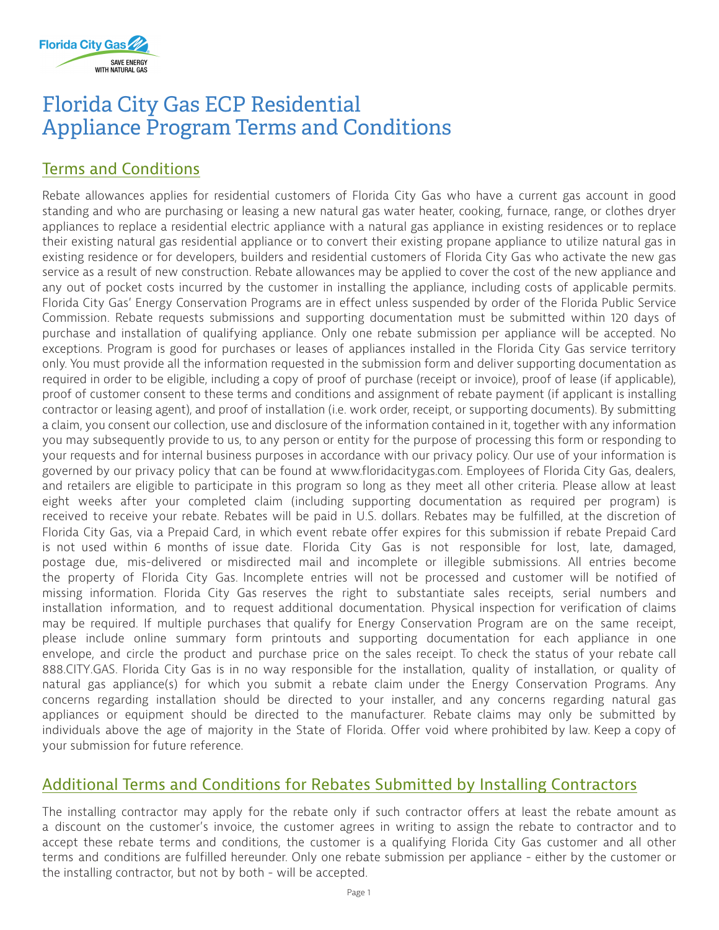

## Florida City Gas ECP Residential Appliance Program Terms and Conditions

### Terms and Conditions

Rebate allowances applies for residential customers of Florida City Gas who have a current gas account in good standing and who are purchasing or leasing a new natural gas water heater, cooking, furnace, range, or clothes dryer appliances to replace a residential electric appliance with a natural gas appliance in existing residences or to replace their existing natural gas residential appliance or to convert their existing propane appliance to utilize natural gas in existing residence or for developers, builders and residential customers of Florida City Gas who activate the new gas service as a result of new construction. Rebate allowances may be applied to cover the cost of the new appliance and any out of pocket costs incurred by the customer in installing the appliance, including costs of applicable permits. Florida City Gas' Energy Conservation Programs are in effect unless suspended by order of the Florida Public Service Commission. Rebate requests submissions and supporting documentation must be submitted within 120 days of purchase and installation of qualifying appliance. Only one rebate submission per appliance will be accepted. No exceptions. Program is good for purchases or leases of appliances installed in the Florida City Gas service territory only. You must provide all the information requested in the submission form and deliver supporting documentation as required in order to be eligible, including a copy of proof of purchase (receipt or invoice), proof of lease (if applicable), proof of customer consent to these terms and conditions and assignment of rebate payment (if applicant is installing contractor or leasing agent), and proof of installation (i.e. work order, receipt, or supporting documents). By submitting a claim, you consent our collection, use and disclosure of the information contained in it, together with any information you may subsequently provide to us, to any person or entity for the purpose of processing this form or responding to your requests and for internal business purposes in accordance with our privacy policy. Our use of your information is governed by our privacy policy that can be found at www.floridacitygas.com. Employees of Florida City Gas, dealers, and retailers are eligible to participate in this program so long as they meet all other criteria. Please allow at least eight weeks after your completed claim (including supporting documentation as required per program) is received to receive your rebate. Rebates will be paid in U.S. dollars. Rebates may be fulfilled, at the discretion of Florida City Gas, via a Prepaid Card, in which event rebate offer expires for this submission if rebate Prepaid Card is not used within 6 months of issue date. Florida City Gas is not responsible for lost, late, damaged, postage due, mis-delivered or misdirected mail and incomplete or illegible submissions. All entries become the property of Florida City Gas. Incomplete entries will not be processed and customer will be notified of missing information. Florida City Gas reserves the right to substantiate sales receipts, serial numbers and installation information, and to request additional documentation. Physical inspection for verification of claims may be required. If multiple purchases that qualify for Energy Conservation Program are on the same receipt, please include online summary form printouts and supporting documentation for each appliance in one envelope, and circle the product and purchase price on the sales receipt. To check the status of your rebate call 888.CITY.GAS. Florida City Gas is in no way responsible for the installation, quality of installation, or quality of natural gas appliance(s) for which you submit a rebate claim under the Energy Conservation Programs. Any concerns regarding installation should be directed to your installer, and any concerns regarding natural gas appliances or equipment should be directed to the manufacturer. Rebate claims may only be submitted by individuals above the age of majority in the State of Florida. Offer void where prohibited by law. Keep a copy of your submission for future reference.

### Additional Terms and Conditions for Rebates Submitted by Installing Contractors

The installing contractor may apply for the rebate only if such contractor offers at least the rebate amount as a discount on the customer's invoice, the customer agrees in writing to assign the rebate to contractor and to accept these rebate terms and conditions, the customer is a qualifying Florida City Gas customer and all other terms and conditions are fulfilled hereunder. Only one rebate submission per appliance - either by the customer or the installing contractor, but not by both - will be accepted.